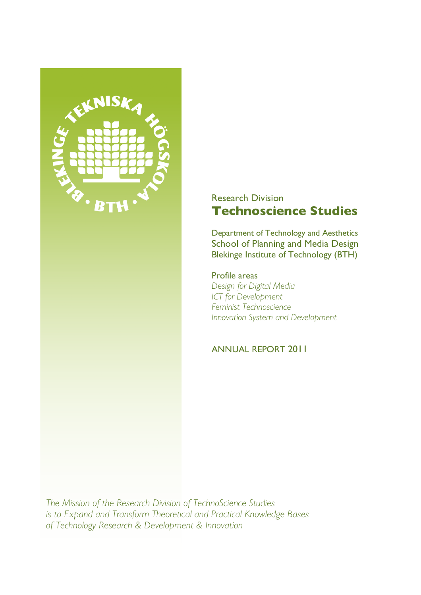

# Research Division **Technoscience Studies**

Department of Technology and Aesthetics School of Planning and Media Design Blekinge Institute of Technology (BTH)

Profile areas *Design for Digital Media ICT for Development Feminist Technoscience Innovation System and Development*

ANNUAL REPORT 2011

*The Mission of the Research Division of TechnoScience Studies is to Expand and Transform Theoretical and Practical Knowledge Bases of Technology Research & Development & Innovation*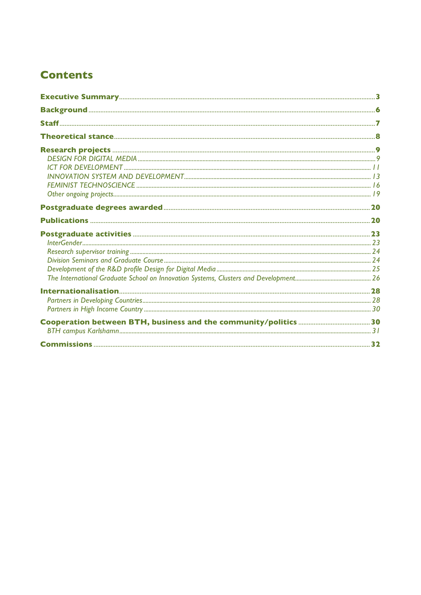# **Contents**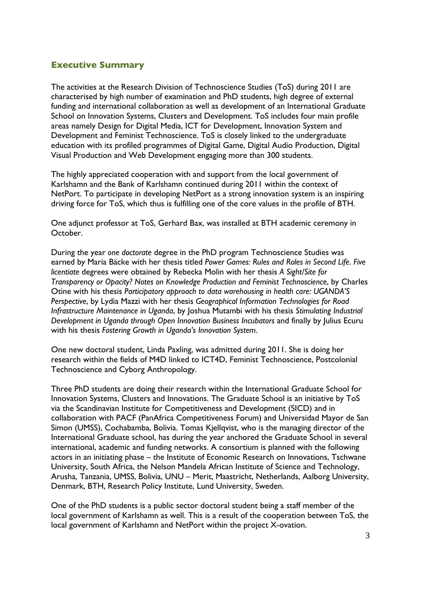### **Executive Summary**

The activities at the Research Division of Technoscience Studies (ToS) during 2011 are characterised by high number of examination and PhD students, high degree of external funding and international collaboration as well as development of an International Graduate School on Innovation Systems, Clusters and Development. ToS includes four main profile areas namely Design for Digital Media, ICT for Development, Innovation System and Development and Feminist Technoscience. ToS is closely linked to the undergraduate education with its profiled programmes of Digital Game, Digital Audio Production, Digital Visual Production and Web Development engaging more than 300 students.

The highly appreciated cooperation with and support from the local government of Karlshamn and the Bank of Karlshamn continued during 2011 within the context of NetPort. To participate in developing NetPort as a strong innovation system is an inspiring driving force for ToS, which thus is fulfilling one of the core values in the profile of BTH.

One adjunct professor at ToS, Gerhard Bax, was installed at BTH academic ceremony in October.

During the year *one doctorate* degree in the PhD program Technoscience Studies was earned by Maria Bäcke with her thesis titled *Power Games: Rules and Roles in Second Life*. *Five licentiate* degrees were obtained by Rebecka Molin with her thesis *A Sight/Site for Transparency or Opacity? Notes on Knowledge Production and Feminist Technoscience*, by Charles Otine with his thesis *Participatory approach to data warehousing in health care: UGANDA'S Perspective*, by Lydia Mazzi with her thesis *Geographical Information Technologies for Road Infrastructure Maintenance in Uganda*, by Joshua Mutambi with his thesis *Stimulating Industrial Development in Uganda through Open Innovation Business Incubators* and finally by Julius Ecuru with his thesis *Fostering Growth in Uganda's Innovation System*.

One new doctoral student, Linda Paxling, was admitted during 2011. She is doing her research within the fields of M4D linked to ICT4D, Feminist Technoscience, Postcolonial Technoscience and Cyborg Anthropology.

Three PhD students are doing their research within the International Graduate School for Innovation Systems, Clusters and Innovations. The Graduate School is an initiative by ToS via the Scandinavian Institute for Competitiveness and Development (SICD) and in collaboration with PACF (PanAfrica Competitiveness Forum) and Universidad Mayor de San Simon (UMSS), Cochabamba, Bolivia. Tomas Kjellqvist, who is the managing director of the International Graduate school, has during the year anchored the Graduate School in several international, academic and funding networks. A consortium is planned with the following actors in an initiating phase – the Institute of Economic Research on Innovations, Tschwane University, South Africa, the Nelson Mandela African Institute of Science and Technology, Arusha, Tanzania, UMSS, Bolivia, UNU – Merit, Maastricht, Netherlands, Aalborg University, Denmark, BTH, Research Policy Institute, Lund University, Sweden.

One of the PhD students is a public sector doctoral student being a staff member of the local government of Karlshamn as well. This is a result of the cooperation between ToS, the local government of Karlshamn and NetPort within the project X-ovation.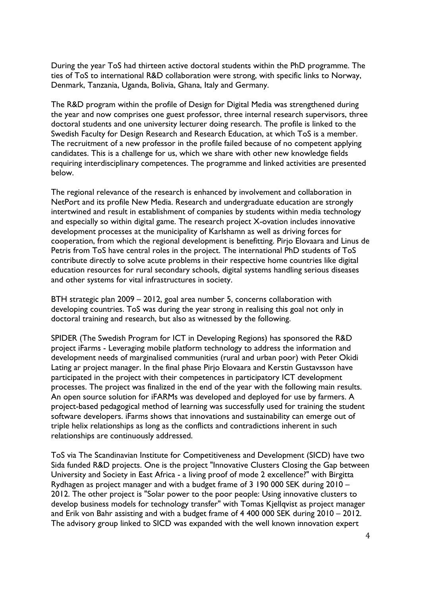During the year ToS had thirteen active doctoral students within the PhD programme. The ties of ToS to international R&D collaboration were strong, with specific links to Norway, Denmark, Tanzania, Uganda, Bolivia, Ghana, Italy and Germany.

The R&D program within the profile of Design for Digital Media was strengthened during the year and now comprises one guest professor, three internal research supervisors, three doctoral students and one university lecturer doing research. The profile is linked to the Swedish Faculty for Design Research and Research Education, at which ToS is a member. The recruitment of a new professor in the profile failed because of no competent applying candidates. This is a challenge for us, which we share with other new knowledge fields requiring interdisciplinary competences. The programme and linked activities are presented below.

The regional relevance of the research is enhanced by involvement and collaboration in NetPort and its profile New Media. Research and undergraduate education are strongly intertwined and result in establishment of companies by students within media technology and especially so within digital game. The research project X-ovation includes innovative development processes at the municipality of Karlshamn as well as driving forces for cooperation, from which the regional development is benefitting. Pirjo Elovaara and Linus de Petris from ToS have central roles in the project. The international PhD students of ToS contribute directly to solve acute problems in their respective home countries like digital education resources for rural secondary schools, digital systems handling serious diseases and other systems for vital infrastructures in society.

BTH strategic plan 2009 – 2012, goal area number 5, concerns collaboration with developing countries. ToS was during the year strong in realising this goal not only in doctoral training and research, but also as witnessed by the following.

SPIDER (The Swedish Program for ICT in Developing Regions) has sponsored the R&D project iFarms - Leveraging mobile platform technology to address the information and development needs of marginalised communities (rural and urban poor) with Peter Okidi Lating ar project manager. In the final phase Pirjo Elovaara and Kerstin Gustavsson have participated in the project with their competences in participatory ICT development processes. The project was finalized in the end of the year with the following main results. An open source solution for iFARMs was developed and deployed for use by farmers. A project-based pedagogical method of learning was successfully used for training the student software developers. iFarms shows that innovations and sustainability can emerge out of triple helix relationships as long as the conflicts and contradictions inherent in such relationships are continuously addressed.

ToS via The Scandinavian Institute for Competitiveness and Development (SICD) have two Sida funded R&D projects. One is the project "Innovative Clusters Closing the Gap between University and Society in East Africa - a living proof of mode 2 excellence?" with Birgitta Rydhagen as project manager and with a budget frame of 3 190 000 SEK during 2010 – 2012. The other project is "Solar power to the poor people: Using innovative clusters to develop business models for technology transfer" with Tomas Kjellqvist as project manager and Erik von Bahr assisting and with a budget frame of 4 400 000 SEK during 2010 – 2012. The advisory group linked to SICD was expanded with the well known innovation expert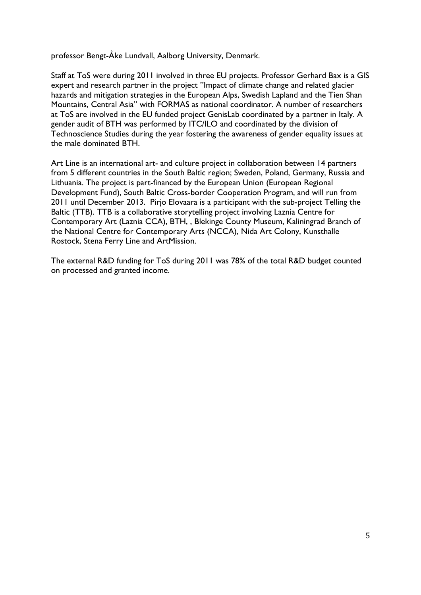professor Bengt-Åke Lundvall, Aalborg University, Denmark.

Staff at ToS were during 2011 involved in three EU projects. Professor Gerhard Bax is a GIS expert and research partner in the project "Impact of climate change and related glacier hazards and mitigation strategies in the European Alps, Swedish Lapland and the Tien Shan Mountains, Central Asia" with FORMAS as national coordinator. A number of researchers at ToS are involved in the EU funded project GenisLab coordinated by a partner in Italy. A gender audit of BTH was performed by ITC/ILO and coordinated by the division of Technoscience Studies during the year fostering the awareness of gender equality issues at the male dominated BTH.

Art Line is an international art- and culture project in collaboration between 14 partners from 5 different countries in the South Baltic region; Sweden, Poland, Germany, Russia and Lithuania. The project is part-financed by the European Union (European Regional Development Fund), South Baltic Cross-border Cooperation Program, and will run from 2011 until December 2013. Pirjo Elovaara is a participant with the sub-project Telling the Baltic (TTB). TTB is a collaborative storytelling project involving Laznia Centre for Contemporary Art (Laznia CCA), BTH, , Blekinge County Museum, Kaliningrad Branch of the National Centre for Contemporary Arts (NCCA), Nida Art Colony, Kunsthalle Rostock, Stena Ferry Line and ArtMission.

The external R&D funding for ToS during 2011 was 78% of the total R&D budget counted on processed and granted income.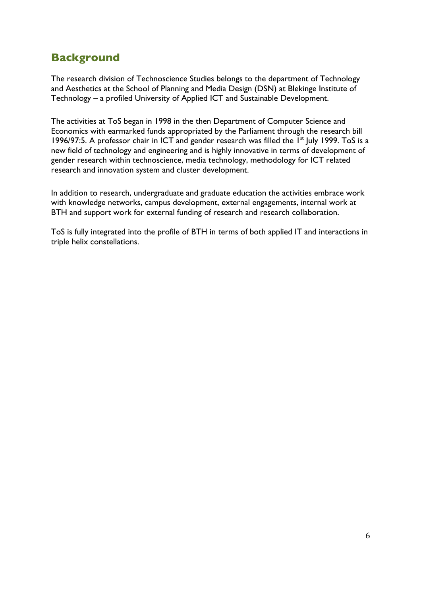# **Background**

The research division of Technoscience Studies belongs to the department of Technology and Aesthetics at the School of Planning and Media Design (DSN) at Blekinge Institute of Technology – a profiled University of Applied ICT and Sustainable Development.

The activities at ToS began in 1998 in the then Department of Computer Science and Economics with earmarked funds appropriated by the Parliament through the research bill 1996/97:5. A professor chair in ICT and gender research was filled the  $1<sup>st</sup>$  July 1999. ToS is a new field of technology and engineering and is highly innovative in terms of development of gender research within technoscience, media technology, methodology for ICT related research and innovation system and cluster development.

In addition to research, undergraduate and graduate education the activities embrace work with knowledge networks, campus development, external engagements, internal work at BTH and support work for external funding of research and research collaboration.

ToS is fully integrated into the profile of BTH in terms of both applied IT and interactions in triple helix constellations.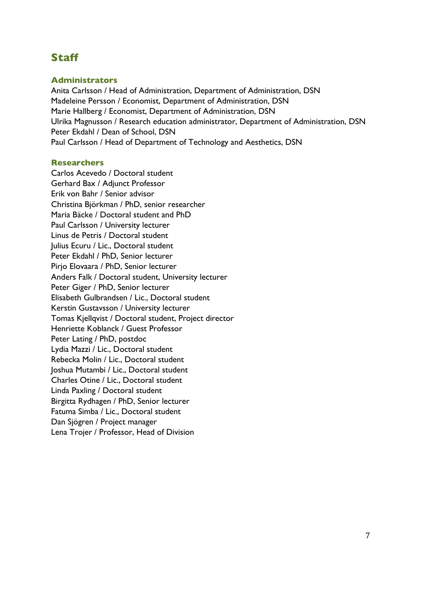# **Staff**

### **Administrators**

Anita Carlsson / Head of Administration, Department of Administration, DSN Madeleine Persson / Economist, Department of Administration, DSN Marie Hallberg / Economist, Department of Administration, DSN Ulrika Magnusson / Research education administrator, Department of Administration, DSN Peter Ekdahl / Dean of School, DSN Paul Carlsson / Head of Department of Technology and Aesthetics, DSN

### **Researchers**

Carlos Acevedo / Doctoral student Gerhard Bax / Adjunct Professor Erik von Bahr / Senior advisor Christina Björkman / PhD, senior researcher Maria Bäcke / Doctoral student and PhD Paul Carlsson / University lecturer Linus de Petris / Doctoral student Julius Ecuru / Lic., Doctoral student Peter Ekdahl / PhD, Senior lecturer Pirjo Elovaara / PhD, Senior lecturer Anders Falk / Doctoral student, University lecturer Peter Giger / PhD, Senior lecturer Elisabeth Gulbrandsen / Lic., Doctoral student Kerstin Gustavsson / University lecturer Tomas Kjellqvist / Doctoral student, Project director Henriette Koblanck / Guest Professor Peter Lating / PhD, postdoc Lydia Mazzi / Lic., Doctoral student Rebecka Molin / Lic., Doctoral student Joshua Mutambi / Lic., Doctoral student Charles Otine / Lic., Doctoral student Linda Paxling / Doctoral student Birgitta Rydhagen / PhD, Senior lecturer Fatuma Simba / Lic., Doctoral student Dan Sjögren / Project manager Lena Trojer / Professor, Head of Division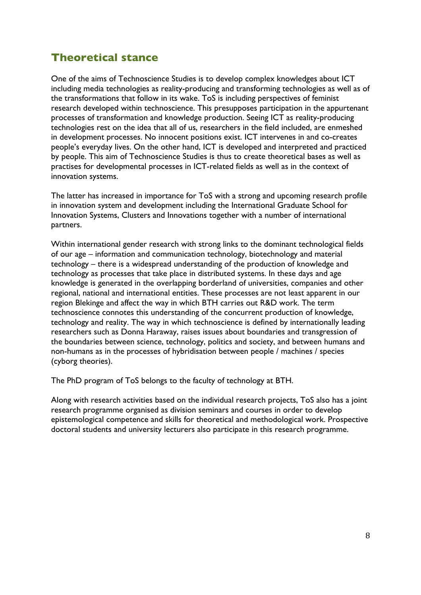# **Theoretical stance**

One of the aims of Technoscience Studies is to develop complex knowledges about ICT including media technologies as reality-producing and transforming technologies as well as of the transformations that follow in its wake. ToS is including perspectives of feminist research developed within technoscience. This presupposes participation in the appurtenant processes of transformation and knowledge production. Seeing ICT as reality-producing technologies rest on the idea that all of us, researchers in the field included, are enmeshed in development processes. No innocent positions exist. ICT intervenes in and co-creates people's everyday lives. On the other hand, ICT is developed and interpreted and practiced by people. This aim of Technoscience Studies is thus to create theoretical bases as well as practises for developmental processes in ICT-related fields as well as in the context of innovation systems.

The latter has increased in importance for ToS with a strong and upcoming research profile in innovation system and development including the International Graduate School for Innovation Systems, Clusters and Innovations together with a number of international partners.

Within international gender research with strong links to the dominant technological fields of our age – information and communication technology, biotechnology and material technology – there is a widespread understanding of the production of knowledge and technology as processes that take place in distributed systems. In these days and age knowledge is generated in the overlapping borderland of universities, companies and other regional, national and international entities. These processes are not least apparent in our region Blekinge and affect the way in which BTH carries out R&D work. The term technoscience connotes this understanding of the concurrent production of knowledge, technology and reality. The way in which technoscience is defined by internationally leading researchers such as Donna Haraway, raises issues about boundaries and transgression of the boundaries between science, technology, politics and society, and between humans and non-humans as in the processes of hybridisation between people / machines / species (cyborg theories).

The PhD program of ToS belongs to the faculty of technology at BTH.

Along with research activities based on the individual research projects, ToS also has a joint research programme organised as division seminars and courses in order to develop epistemological competence and skills for theoretical and methodological work. Prospective doctoral students and university lecturers also participate in this research programme.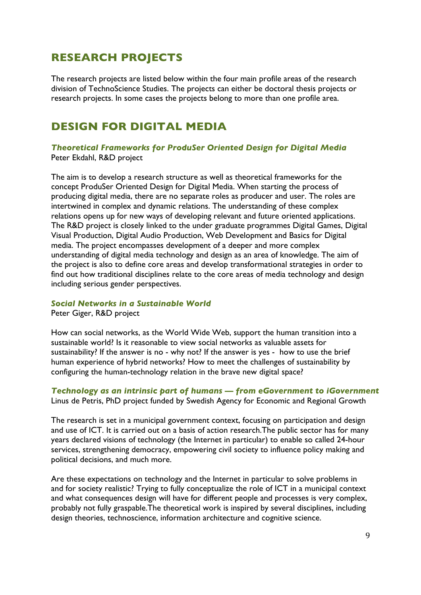# **RESEARCH PROJECTS**

The research projects are listed below within the four main profile areas of the research division of TechnoScience Studies. The projects can either be doctoral thesis projects or research projects. In some cases the projects belong to more than one profile area.

# **DESIGN FOR DIGITAL MEDIA**

*Theoretical Frameworks for ProduSer Oriented Design for Digital Media* Peter Ekdahl, R&D project

The aim is to develop a research structure as well as theoretical frameworks for the concept ProduSer Oriented Design for Digital Media. When starting the process of producing digital media, there are no separate roles as producer and user. The roles are intertwined in complex and dynamic relations. The understanding of these complex relations opens up for new ways of developing relevant and future oriented applications. The R&D project is closely linked to the under graduate programmes Digital Games, Digital Visual Production, Digital Audio Production, Web Development and Basics for Digital media. The project encompasses development of a deeper and more complex understanding of digital media technology and design as an area of knowledge. The aim of the project is also to define core areas and develop transformational strategies in order to find out how traditional disciplines relate to the core areas of media technology and design including serious gender perspectives.

#### *Social Networks in a Sustainable World*

Peter Giger, R&D project

How can social networks, as the World Wide Web, support the human transition into a sustainable world? Is it reasonable to view social networks as valuable assets for sustainability? If the answer is no - why not? If the answer is yes - how to use the brief human experience of hybrid networks? How to meet the challenges of sustainability by configuring the human-technology relation in the brave new digital space?

### *Technology as an intrinsic part of humans — from eGovernment to iGovernment* Linus de Petris, PhD project funded by Swedish Agency for Economic and Regional Growth

The research is set in a municipal government context, focusing on participation and design and use of ICT. It is carried out on a basis of action research.The public sector has for many years declared visions of technology (the Internet in particular) to enable so called 24-hour services, strengthening democracy, empowering civil society to influence policy making and political decisions, and much more.

Are these expectations on technology and the Internet in particular to solve problems in and for society realistic? Trying to fully conceptualize the role of ICT in a municipal context and what consequences design will have for different people and processes is very complex, probably not fully graspable.The theoretical work is inspired by several disciplines, including design theories, technoscience, information architecture and cognitive science.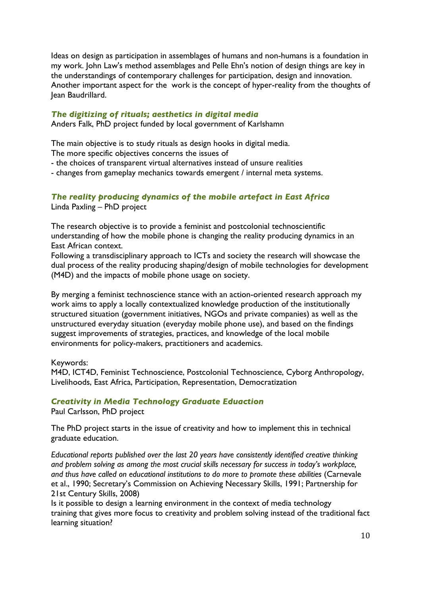Ideas on design as participation in assemblages of humans and non-humans is a foundation in my work. John Law's method assemblages and Pelle Ehn's notion of design things are key in the understandings of contemporary challenges for participation, design and innovation. Another important aspect for the work is the concept of hyper-reality from the thoughts of Jean Baudrillard.

### *The digitizing of rituals; aesthetics in digital media*

Anders Falk, PhD project funded by local government of Karlshamn

The main objective is to study rituals as design hooks in digital media.

The more specific objectives concerns the issues of

- the choices of transparent virtual alternatives instead of unsure realities
- changes from gameplay mechanics towards emergent / internal meta systems.

### *The reality producing dynamics of the mobile artefact in East Africa* Linda Paxling – PhD project

The research objective is to provide a feminist and postcolonial technoscientific understanding of how the mobile phone is changing the reality producing dynamics in an East African context.

Following a transdisciplinary approach to ICTs and society the research will showcase the dual process of the reality producing shaping/design of mobile technologies for development (M4D) and the impacts of mobile phone usage on society.

By merging a feminist technoscience stance with an action-oriented research approach my work aims to apply a locally contextualized knowledge production of the institutionally structured situation (government initiatives, NGOs and private companies) as well as the unstructured everyday situation (everyday mobile phone use), and based on the findings suggest improvements of strategies, practices, and knowledge of the local mobile environments for policy-makers, practitioners and academics.

Keywords:

M4D, ICT4D, Feminist Technoscience, Postcolonial Technoscience, Cyborg Anthropology, Livelihoods, East Africa, Participation, Representation, Democratization

### *Creativity in Media Technology Graduate Eduaction*

Paul Carlsson, PhD project

The PhD project starts in the issue of creativity and how to implement this in technical graduate education.

*Educational reports published over the last 20 years have consistently identified creative thinking and problem solving as among the most crucial skills necessary for success in today's workplace, and thus have called on educational institutions to do more to promote these abilities* (Carnevale et al., 1990; Secretary's Commission on Achieving Necessary Skills, 1991; Partnership for 21st Century Skills, 2008)

Is it possible to design a learning environment in the context of media technology training that gives more focus to creativity and problem solving instead of the traditional fact learning situation?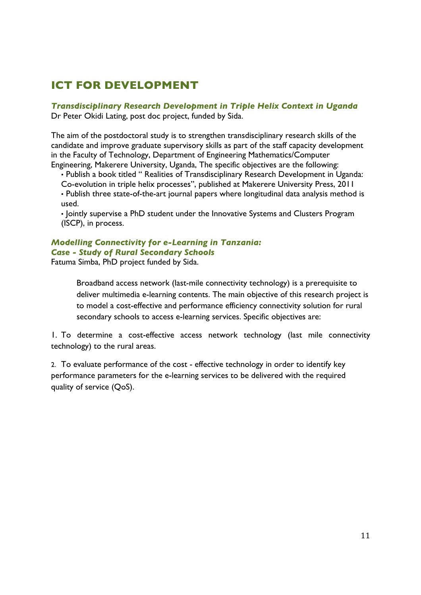# **ICT FOR DEVELOPMENT**

*Transdisciplinary Research Development in Triple Helix Context in Uganda* Dr Peter Okidi Lating, post doc project, funded by Sida.

The aim of the postdoctoral study is to strengthen transdisciplinary research skills of the candidate and improve graduate supervisory skills as part of the staff capacity development in the Faculty of Technology, Department of Engineering Mathematics/Computer Engineering, Makerere University, Uganda, The specific objectives are the following:

• Publish a book titled " Realities of Transdisciplinary Research Development in Uganda: Co-evolution in triple helix processes", published at Makerere University Press, 2011

• Publish three state-of-the-art journal papers where longitudinal data analysis method is used.

• Jointly supervise a PhD student under the Innovative Systems and Clusters Program (ISCP), in process.

### *Modelling Connectivity for e-Learning in Tanzania: Case - Study of Rural Secondary Schools*

Fatuma Simba, PhD project funded by Sida.

Broadband access network (last-mile connectivity technology) is a prerequisite to deliver multimedia e-learning contents. The main objective of this research project is to model a cost-effective and performance efficiency connectivity solution for rural secondary schools to access e-learning services. Specific objectives are:

1. To determine a cost-effective access network technology (last mile connectivity technology) to the rural areas.

2. To evaluate performance of the cost - effective technology in order to identify key performance parameters for the e-learning services to be delivered with the required quality of service (QoS).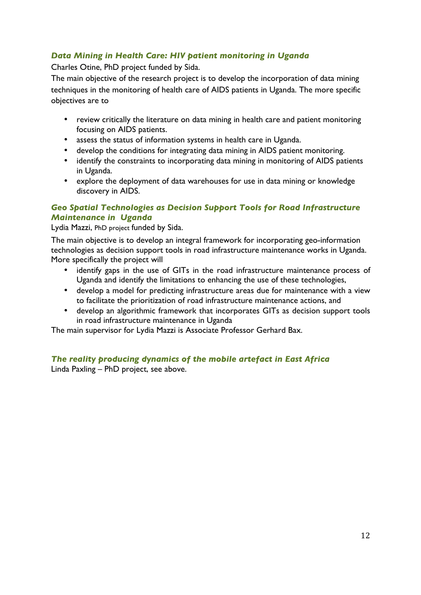## *Data Mining in Health Care: HIV patient monitoring in Uganda*

Charles Otine, PhD project funded by Sida.

The main objective of the research project is to develop the incorporation of data mining techniques in the monitoring of health care of AIDS patients in Uganda. The more specific objectives are to

- review critically the literature on data mining in health care and patient monitoring focusing on AIDS patients.
- assess the status of information systems in health care in Uganda.
- develop the conditions for integrating data mining in AIDS patient monitoring.
- identify the constraints to incorporating data mining in monitoring of AIDS patients in Uganda.
- explore the deployment of data warehouses for use in data mining or knowledge discovery in AIDS.

### *Geo Spatial Technologies as Decision Support Tools for Road Infrastructure Maintenance in Uganda*

Lydia Mazzi, PhD project funded by Sida.

The main objective is to develop an integral framework for incorporating geo-information technologies as decision support tools in road infrastructure maintenance works in Uganda. More specifically the project will

- identify gaps in the use of GITs in the road infrastructure maintenance process of Uganda and identify the limitations to enhancing the use of these technologies,
- develop a model for predicting infrastructure areas due for maintenance with a view to facilitate the prioritization of road infrastructure maintenance actions, and
- develop an algorithmic framework that incorporates GITs as decision support tools in road infrastructure maintenance in Uganda

The main supervisor for Lydia Mazzi is Associate Professor Gerhard Bax.

## *The reality producing dynamics of the mobile artefact in East Africa*

Linda Paxling – PhD project, see above.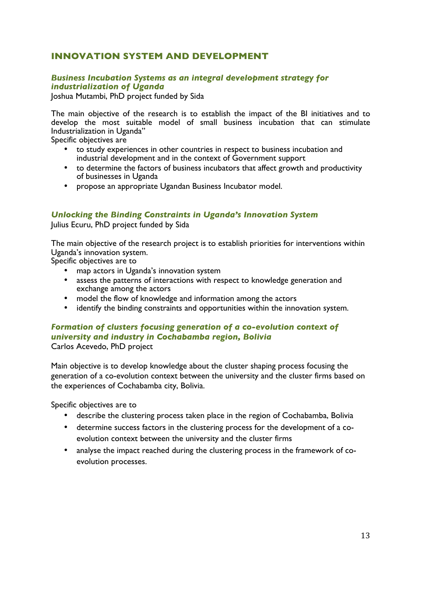## **INNOVATION SYSTEM AND DEVELOPMENT**

### *Business Incubation Systems as an integral development strategy for industrialization of Uganda*

Joshua Mutambi, PhD project funded by Sida

The main objective of the research is to establish the impact of the BI initiatives and to develop the most suitable model of small business incubation that can stimulate Industrialization in Uganda"

Specific objectives are

- to study experiences in other countries in respect to business incubation and industrial development and in the context of Government support
- to determine the factors of business incubators that affect growth and productivity of businesses in Uganda
- propose an appropriate Ugandan Business Incubator model.

### *Unlocking the Binding Constraints in Uganda's Innovation System*

Julius Ecuru, PhD project funded by Sida

The main objective of the research project is to establish priorities for interventions within Uganda's innovation system.

Specific objectives are to

- map actors in Uganda's innovation system
- assess the patterns of interactions with respect to knowledge generation and exchange among the actors
- model the flow of knowledge and information among the actors
- identify the binding constraints and opportunities within the innovation system.

### *Formation of clusters focusing generation of a co-evolution context of university and industry in Cochabamba region, Bolivia*  Carlos Acevedo, PhD project

Main objective is to develop knowledge about the cluster shaping process focusing the generation of a co-evolution context between the university and the cluster firms based on the experiences of Cochabamba city, Bolivia.

Specific objectives are to

- describe the clustering process taken place in the region of Cochabamba, Bolivia
- determine success factors in the clustering process for the development of a coevolution context between the university and the cluster firms
- analyse the impact reached during the clustering process in the framework of coevolution processes.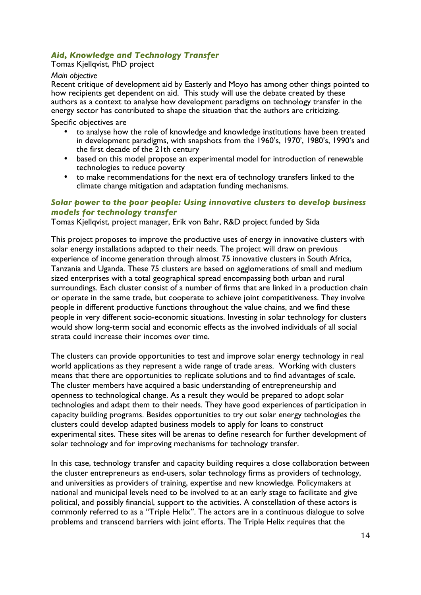### *Aid, Knowledge and Technology Transfer*

Tomas Kjellqvist, PhD project

#### *Main objective*

Recent critique of development aid by Easterly and Moyo has among other things pointed to how recipients get dependent on aid. This study will use the debate created by these authors as a context to analyse how development paradigms on technology transfer in the energy sector has contributed to shape the situation that the authors are criticizing.

Specific objectives are

- to analyse how the role of knowledge and knowledge institutions have been treated in development paradigms, with snapshots from the 1960's, 1970', 1980's, 1990's and the first decade of the 21th century
- based on this model propose an experimental model for introduction of renewable technologies to reduce poverty
- to make recommendations for the next era of technology transfers linked to the climate change mitigation and adaptation funding mechanisms.

### *Solar power to the poor people: Using innovative clusters to develop business models for technology transfer*

Tomas Kjellqvist, project manager, Erik von Bahr, R&D project funded by Sida

This project proposes to improve the productive uses of energy in innovative clusters with solar energy installations adapted to their needs. The project will draw on previous experience of income generation through almost 75 innovative clusters in South Africa, Tanzania and Uganda. These 75 clusters are based on agglomerations of small and medium sized enterprises with a total geographical spread encompassing both urban and rural surroundings. Each cluster consist of a number of firms that are linked in a production chain or operate in the same trade, but cooperate to achieve joint competitiveness. They involve people in different productive functions throughout the value chains, and we find these people in very different socio-economic situations. Investing in solar technology for clusters would show long-term social and economic effects as the involved individuals of all social strata could increase their incomes over time.

The clusters can provide opportunities to test and improve solar energy technology in real world applications as they represent a wide range of trade areas. Working with clusters means that there are opportunities to replicate solutions and to find advantages of scale. The cluster members have acquired a basic understanding of entrepreneurship and openness to technological change. As a result they would be prepared to adopt solar technologies and adapt them to their needs. They have good experiences of participation in capacity building programs. Besides opportunities to try out solar energy technologies the clusters could develop adapted business models to apply for loans to construct experimental sites. These sites will be arenas to define research for further development of solar technology and for improving mechanisms for technology transfer.

In this case, technology transfer and capacity building requires a close collaboration between the cluster entrepreneurs as end-users, solar technology firms as providers of technology, and universities as providers of training, expertise and new knowledge. Policymakers at national and municipal levels need to be involved to at an early stage to facilitate and give political, and possibly financial, support to the activities. A constellation of these actors is commonly referred to as a "Triple Helix". The actors are in a continuous dialogue to solve problems and transcend barriers with joint efforts. The Triple Helix requires that the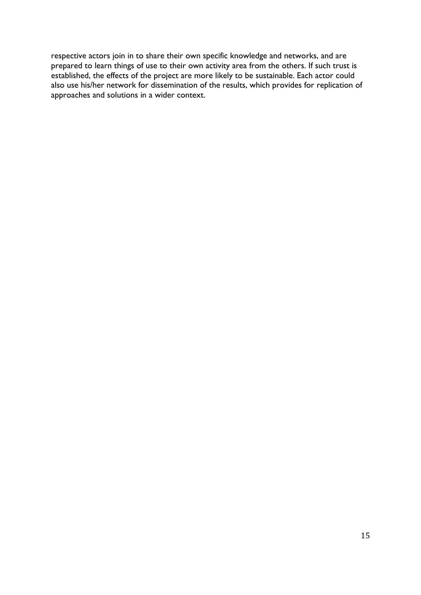respective actors join in to share their own specific knowledge and networks, and are prepared to learn things of use to their own activity area from the others. If such trust is established, the effects of the project are more likely to be sustainable. Each actor could also use his/her network for dissemination of the results, which provides for replication of approaches and solutions in a wider context.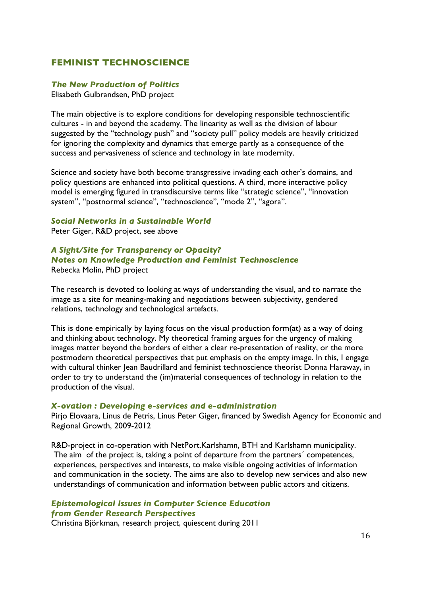### **FEMINIST TECHNOSCIENCE**

### *The New Production of Politics*

Elisabeth Gulbrandsen, PhD project

The main objective is to explore conditions for developing responsible technoscientific cultures - in and beyond the academy. The linearity as well as the division of labour suggested by the "technology push" and "society pull" policy models are heavily criticized for ignoring the complexity and dynamics that emerge partly as a consequence of the success and pervasiveness of science and technology in late modernity.

Science and society have both become transgressive invading each other's domains, and policy questions are enhanced into political questions. A third, more interactive policy model is emerging figured in transdiscursive terms like "strategic science", "innovation system", "postnormal science", "technoscience", "mode 2", "agora".

### *Social Networks in a Sustainable World*

Peter Giger, R&D project, see above

### *A Sight/Site for Transparency or Opacity? Notes on Knowledge Production and Feminist Technoscience* Rebecka Molin, PhD project

The research is devoted to looking at ways of understanding the visual, and to narrate the image as a site for meaning-making and negotiations between subjectivity, gendered relations, technology and technological artefacts.

This is done empirically by laying focus on the visual production form(at) as a way of doing and thinking about technology. My theoretical framing argues for the urgency of making images matter beyond the borders of either a clear re-presentation of reality, or the more postmodern theoretical perspectives that put emphasis on the empty image. In this, I engage with cultural thinker Jean Baudrillard and feminist technoscience theorist Donna Haraway, in order to try to understand the (im)material consequences of technology in relation to the production of the visual.

#### *X-ovation : Developing e-services and e-administration*

Pirjo Elovaara, Linus de Petris, Linus Peter Giger, financed by Swedish Agency for Economic and Regional Growth, 2009-2012

R&D-project in co-operation with NetPort.Karlshamn, BTH and Karlshamn municipality. The aim of the project is, taking a point of departure from the partners´ competences, experiences, perspectives and interests, to make visible ongoing activities of information and communication in the society. The aims are also to develop new services and also new understandings of communication and information between public actors and citizens.

### *Epistemological Issues in Computer Science Education from Gender Research Perspectives*

Christina Björkman, research project, quiescent during 2011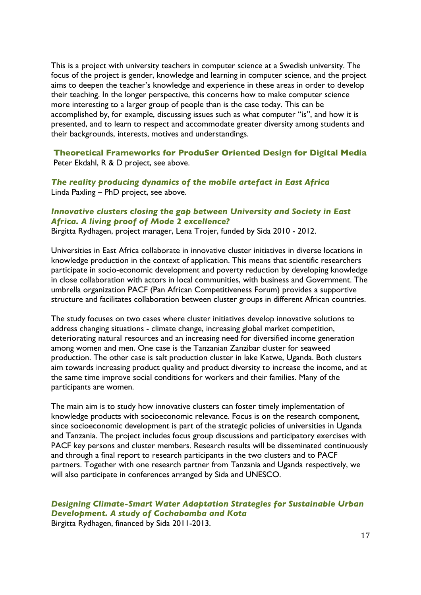This is a project with university teachers in computer science at a Swedish university. The focus of the project is gender, knowledge and learning in computer science, and the project aims to deepen the teacher's knowledge and experience in these areas in order to develop their teaching. In the longer perspective, this concerns how to make computer science more interesting to a larger group of people than is the case today. This can be accomplished by, for example, discussing issues such as what computer "is", and how it is presented, and to learn to respect and accommodate greater diversity among students and their backgrounds, interests, motives and understandings.

**Theoretical Frameworks for ProduSer Oriented Design for Digital Media** Peter Ekdahl, R & D project, see above.

*The reality producing dynamics of the mobile artefact in East Africa* Linda Paxling – PhD project, see above.

### *Innovative clusters closing the gap between University and Society in East Africa. A living proof of Mode 2 excellence?*

Birgitta Rydhagen, project manager, Lena Trojer, funded by Sida 2010 - 2012.

Universities in East Africa collaborate in innovative cluster initiatives in diverse locations in knowledge production in the context of application. This means that scientific researchers participate in socio-economic development and poverty reduction by developing knowledge in close collaboration with actors in local communities, with business and Government. The umbrella organization PACF (Pan African Competitiveness Forum) provides a supportive structure and facilitates collaboration between cluster groups in different African countries.

The study focuses on two cases where cluster initiatives develop innovative solutions to address changing situations - climate change, increasing global market competition, deteriorating natural resources and an increasing need for diversified income generation among women and men. One case is the Tanzanian Zanzibar cluster for seaweed production. The other case is salt production cluster in lake Katwe, Uganda. Both clusters aim towards increasing product quality and product diversity to increase the income, and at the same time improve social conditions for workers and their families. Many of the participants are women.

The main aim is to study how innovative clusters can foster timely implementation of knowledge products with socioeconomic relevance. Focus is on the research component, since socioeconomic development is part of the strategic policies of universities in Uganda and Tanzania. The project includes focus group discussions and participatory exercises with PACF key persons and cluster members. Research results will be disseminated continuously and through a final report to research participants in the two clusters and to PACF partners. Together with one research partner from Tanzania and Uganda respectively, we will also participate in conferences arranged by Sida and UNESCO.

## *Designing Climate-Smart Water Adaptation Strategies for Sustainable Urban Development. A study of Cochabamba and Kota*

Birgitta Rydhagen, financed by Sida 2011-2013.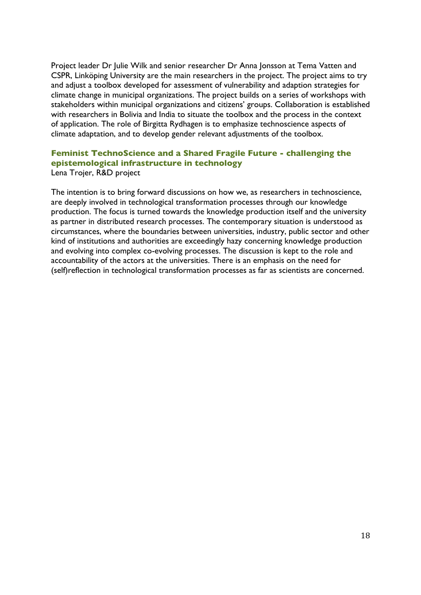Project leader Dr Julie Wilk and senior researcher Dr Anna Jonsson at Tema Vatten and CSPR, Linköping University are the main researchers in the project. The project aims to try and adjust a toolbox developed for assessment of vulnerability and adaption strategies for climate change in municipal organizations. The project builds on a series of workshops with stakeholders within municipal organizations and citizens' groups. Collaboration is established with researchers in Bolivia and India to situate the toolbox and the process in the context of application. The role of Birgitta Rydhagen is to emphasize technoscience aspects of climate adaptation, and to develop gender relevant adjustments of the toolbox.

# **Feminist TechnoScience and a Shared Fragile Future - challenging the epistemological infrastructure in technology**

Lena Trojer, R&D project

The intention is to bring forward discussions on how we, as researchers in technoscience, are deeply involved in technological transformation processes through our knowledge production. The focus is turned towards the knowledge production itself and the university as partner in distributed research processes. The contemporary situation is understood as circumstances, where the boundaries between universities, industry, public sector and other kind of institutions and authorities are exceedingly hazy concerning knowledge production and evolving into complex co-evolving processes. The discussion is kept to the role and accountability of the actors at the universities. There is an emphasis on the need for (self)reflection in technological transformation processes as far as scientists are concerned.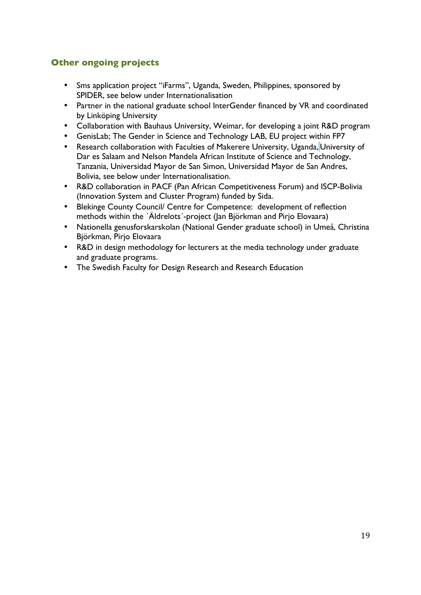## **Other ongoing projects**

- Sms application project "iFarms", Uganda, Sweden, Philippines, sponsored by SPIDER, see below under Internationalisation
- Partner in the national graduate school InterGender financed by VR and coordinated by Linköping University
- Collaboration with Bauhaus University, Weimar, for developing a joint R&D program
- GenisLab; The Gender in Science and Technology LAB, EU project within FP7
- Research collaboration with Faculties of Makerere University, Uganda, University of Dar es Salaam and Nelson Mandela African Institute of Science and Technology, Tanzania, Universidad Mayor de San Simon, Universidad Mayor de San Andres, Bolivia, see below under Internationalisation.
- R&D collaboration in PACF (Pan African Competitiveness Forum) and ISCP-Bolivia (Innovation System and Cluster Program) funded by Sida.
- Blekinge County Council/ Centre for Competence: development of reflection methods within the ´Äldrelots´-project (Jan Björkman and Pirjo Elovaara)
- Nationella genusforskarskolan (National Gender graduate school) in Umeå, Christina Björkman, Pirjo Elovaara
- R&D in design methodology for lecturers at the media technology under graduate and graduate programs.
- The Swedish Faculty for Design Research and Research Education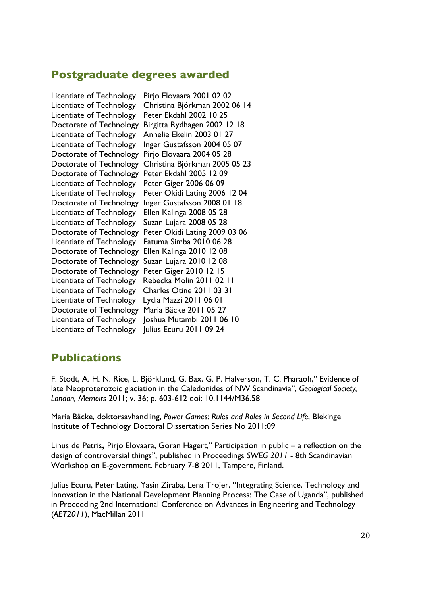# **Postgraduate degrees awarded**

Licentiate of Technology Pirjo Elovaara 2001 02 02 Licentiate of Technology Peter Ekdahl 2002 10 25 Licentiate of Technology Annelie Ekelin 2003 01 27 Doctorate of Technology Pirjo Elovaara 2004 05 28 Doctorate of Technology Peter Ekdahl 2005 12 09 Licentiate of Technology Peter Giger 2006 06 09 Licentiate of Technology Ellen Kalinga 2008 05 28 Licentiate of Technology Suzan Lujara 2008 05 28 Licentiate of Technology Fatuma Simba 2010 06 28 Doctorate of Technology Ellen Kalinga 2010 12 08 Doctorate of Technology Suzan Lujara 2010 12 08 Doctorate of Technology Peter Giger 2010 12 15 Licentiate of Technology Rebecka Molin 2011 02 11 Licentiate of Technology Charles Otine 2011 03 31 Licentiate of Technology Lydia Mazzi 2011 06 01 Doctorate of Technology Maria Bäcke 2011 05 27 Licentiate of Technology Julius Ecuru 2011 09 24

Licentiate of Technology Christina Björkman 2002 06 14 Doctorate of Technology Birgitta Rydhagen 2002 12 18 Licentiate of Technology Inger Gustafsson 2004 05 07 Doctorate of Technology Christina Björkman 2005 05 23 Licentiate of Technology Peter Okidi Lating 2006 12 04 Doctorate of Technology Inger Gustafsson 2008 01 18 Doctorate of Technology Peter Okidi Lating 2009 03 06 Licentiate of Technology Joshua Mutambi 2011 06 10

# **Publications**

F. Stodt, A. H. N. Rice, L. Björklund, G. Bax, G. P. Halverson, T. C. Pharaoh," Evidence of late Neoproterozoic glaciation in the Caledonides of NW Scandinavia", *Geological Society, London, Memoirs* 2011; v. 36; p. 603-612 doi: 10.1144/M36.58

Maria Bäcke, doktorsavhandling, *Power Games: Rules and Roles in Second Life*, Blekinge Institute of Technology Doctoral Dissertation Series No 2011:09

Linus de Petris**,** Pirjo Elovaara, Göran Hagert," Participation in public – a reflection on the design of controversial things", published in Proceedings *SWEG 2011* - 8th Scandinavian Workshop on E-government. February 7-8 2011, Tampere, Finland.

Julius Ecuru, Peter Lating, Yasin Ziraba, Lena Trojer, "Integrating Science, Technology and Innovation in the National Development Planning Process: The Case of Uganda", published in Proceeding 2nd International Conference on Advances in Engineering and Technology (*AET2011*), MacMillan 2011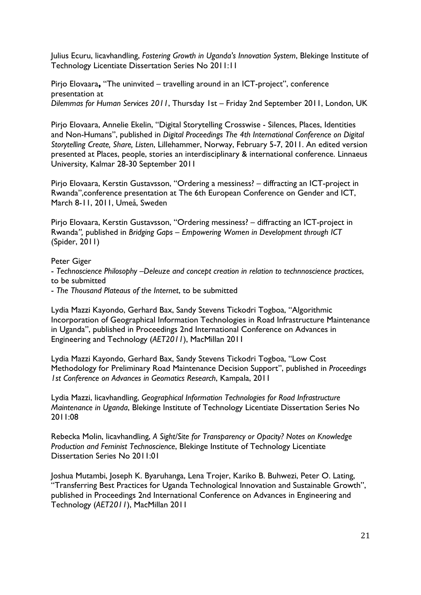Julius Ecuru, licavhandling, *Fostering Growth in Uganda's Innovation System*, Blekinge Institute of Technology Licentiate Dissertation Series No 2011:11

Pirjo Elovaara**,** "The uninvited – travelling around in an ICT-project", conference presentation at *Dilemmas for Human Services 2011*, Thursday 1st – Friday 2nd September 2011, London, UK

Pirjo Elovaara, Annelie Ekelin, "Digital Storytelling Crosswise - Silences, Places, Identities and Non-Humans", published in *Digital Proceedings The 4th International Conference on Digital Storytelling Create, Share, Listen*, Lillehammer, Norway, February 5-7, 2011. An edited version presented at Places, people, stories an interdisciplinary & international conference. Linnaeus University, Kalmar 28-30 September 2011

Pirjo Elovaara, Kerstin Gustavsson, "Ordering a messiness? – diffracting an ICT-project in Rwanda",conference presentation at The 6th European Conference on Gender and ICT, March 8-11, 2011, Umeå, Sweden

Pirjo Elovaara, Kerstin Gustavsson, "Ordering messiness? – diffracting an ICT-project in Rwanda*",* published in *Bridging Gaps – Empowering Women in Development through ICT* (Spider, 2011)

Peter Giger

- *Technoscience Philosophy –Deleuze and concept creation in relation to technnoscience practices*, to be submitted

- *The Thousand Plateaus of the Internet*, to be submitted

Lydia Mazzi Kayondo, Gerhard Bax, Sandy Stevens Tickodri Togboa, "Algorithmic Incorporation of Geographical Information Technologies in Road Infrastructure Maintenance in Uganda", published in Proceedings 2nd International Conference on Advances in Engineering and Technology (*AET2011*), MacMillan 2011

Lydia Mazzi Kayondo, Gerhard Bax, Sandy Stevens Tickodri Togboa, "Low Cost Methodology for Preliminary Road Maintenance Decision Support", published in *Proceedings 1st Conference on Advances in Geomatics Research*, Kampala, 2011

Lydia Mazzi, licavhandling, *Geographical Information Technologies for Road Infrastructure Maintenance in Uganda*, Blekinge Institute of Technology Licentiate Dissertation Series No 2011:08

Rebecka Molin, licavhandling, *A Sight/Site for Transparency or Opacity? Notes on Knowledge Production and Feminist Technoscience*, Blekinge Institute of Technology Licentiate Dissertation Series No 2011:01

Joshua Mutambi, Joseph K. Byaruhanga, Lena Trojer, Kariko B. Buhwezi, Peter O. Lating, "Transferring Best Practices for Uganda Technological Innovation and Sustainable Growth", published in Proceedings 2nd International Conference on Advances in Engineering and Technology (*AET2011*), MacMillan 2011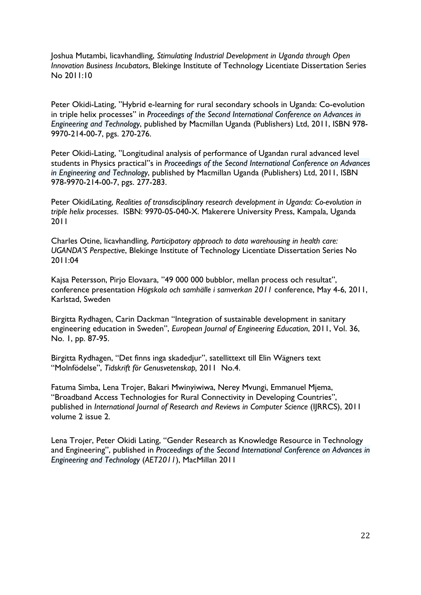Joshua Mutambi, licavhandling, *Stimulating Industrial Development in Uganda through Open Innovation Business Incubators*, Blekinge Institute of Technology Licentiate Dissertation Series No 2011:10

Peter Okidi-Lating, "Hybrid e-learning for rural secondary schools in Uganda: Co-evolution in triple helix processes" in *Proceedings of the Second International Conference on Advances in Engineering and Technology*, published by Macmillan Uganda (Publishers) Ltd, 2011, ISBN 978- 9970-214-00-7, pgs. 270-276.

Peter Okidi-Lating, "Longitudinal analysis of performance of Ugandan rural advanced level students in Physics practical"s in *Proceedings of the Second International Conference on Advances in Engineering and Technology*, published by Macmillan Uganda (Publishers) Ltd, 2011, ISBN 978-9970-214-00-7, pgs. 277-283.

Peter OkidiLating, *Realities of transdisciplinary research development in Uganda: Co-evolution in triple helix processes*. ISBN: 9970-05-040-X. Makerere University Press, Kampala, Uganda 2011

Charles Otine, licavhandling, *Participatory approach to data warehousing in health care: UGANDA'S Perspective*, Blekinge Institute of Technology Licentiate Dissertation Series No 2011:04

Kajsa Petersson, Pirjo Elovaara, "49 000 000 bubblor, mellan process och resultat", conference presentation *Högskola och samhälle i samverkan 2011* conference, May 4-6, 2011, Karlstad, Sweden

Birgitta Rydhagen, Carin Dackman "Integration of sustainable development in sanitary engineering education in Sweden", *European Journal of Engineering Education*, 2011, Vol. 36, No. 1, pp. 87-95.

Birgitta Rydhagen, "Det finns inga skadedjur", satellittext till Elin Wägners text "Molnfödelse", *Tidskrift för Genusvetenskap,* 2011 No.4.

Fatuma Simba, Lena Trojer, Bakari Mwinyiwiwa, Nerey Mvungi, Emmanuel Mjema, "Broadband Access Technologies for Rural Connectivity in Developing Countries", published in *International Journal of Research and Reviews in Computer Science* (IJRRCS), 2011 volume 2 issue 2.

Lena Trojer, Peter Okidi Lating, "Gender Research as Knowledge Resource in Technology and Engineering", published in *Proceedings of the Second International Conference on Advances in Engineering and Technology* (*AET2011*), MacMillan 2011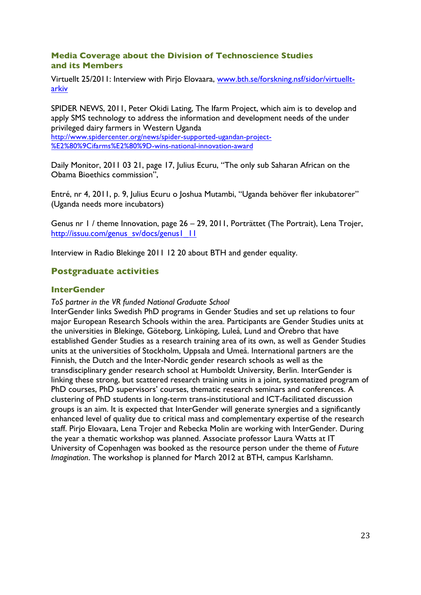### **Media Coverage about the Division of Technoscience Studies and its Members**

Virtuellt 25/2011: Interview with Pirjo Elovaara, www.bth.se/forskning.nsf/sidor/virtuelltarkiv

SPIDER NEWS, 2011, Peter Okidi Lating, The Ifarm Project, which aim is to develop and apply SMS technology to address the information and development needs of the under privileged dairy farmers in Western Uganda

http://www.spidercenter.org/news/spider-supported-ugandan-project- %E2%80%9Cifarms%E2%80%9D-wins-national-innovation-award

Daily Monitor, 2011 03 21, page 17, Julius Ecuru, "The only sub Saharan African on the Obama Bioethics commission",

Entré, nr 4, 2011, p. 9, Julius Ecuru o Joshua Mutambi, "Uganda behöver fler inkubatorer" (Uganda needs more incubators)

Genus nr 1 / theme Innovation, page 26 – 29, 2011, Porträttet (The Portrait), Lena Trojer, http://issuu.com/genus\_sv/docs/genus1\_11

Interview in Radio Blekinge 2011 12 20 about BTH and gender equality.

### **Postgraduate activities**

### **InterGender**

#### *ToS partner in the VR funded National Graduate School*

InterGender links Swedish PhD programs in Gender Studies and set up relations to four major European Research Schools within the area. Participants are Gender Studies units at the universities in Blekinge, Göteborg, Linköping, Luleå, Lund and Örebro that have established Gender Studies as a research training area of its own, as well as Gender Studies units at the universities of Stockholm, Uppsala and Umeå. International partners are the Finnish, the Dutch and the Inter-Nordic gender research schools as well as the transdisciplinary gender research school at Humboldt University, Berlin. InterGender is linking these strong, but scattered research training units in a joint, systematized program of PhD courses, PhD supervisors' courses, thematic research seminars and conferences. A clustering of PhD students in long-term trans-institutional and ICT-facilitated discussion groups is an aim. It is expected that InterGender will generate synergies and a significantly enhanced level of quality due to critical mass and complementary expertise of the research staff. Pirjo Elovaara, Lena Trojer and Rebecka Molin are working with InterGender. During the year a thematic workshop was planned. Associate professor Laura Watts at IT University of Copenhagen was booked as the resource person under the theme of *Future Imagination*. The workshop is planned for March 2012 at BTH, campus Karlshamn.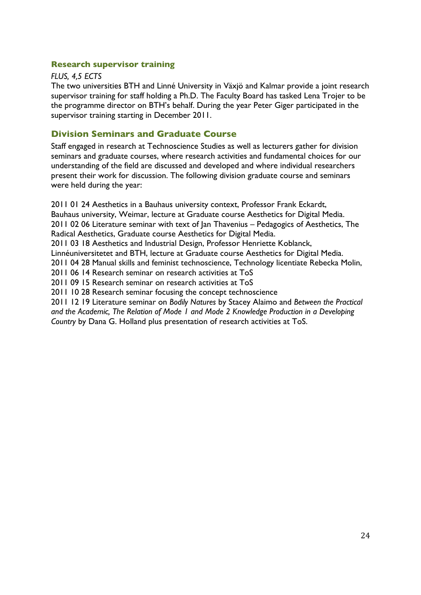### **Research supervisor training**

### *FLUS, 4,5 ECTS*

The two universities BTH and Linné University in Växjö and Kalmar provide a joint research supervisor training for staff holding a Ph.D. The Faculty Board has tasked Lena Trojer to be the programme director on BTH's behalf. During the year Peter Giger participated in the supervisor training starting in December 2011.

### **Division Seminars and Graduate Course**

Staff engaged in research at Technoscience Studies as well as lecturers gather for division seminars and graduate courses, where research activities and fundamental choices for our understanding of the field are discussed and developed and where individual researchers present their work for discussion. The following division graduate course and seminars were held during the year:

2011 01 24 Aesthetics in a Bauhaus university context, Professor Frank Eckardt, Bauhaus university, Weimar, lecture at Graduate course Aesthetics for Digital Media. 2011 02 06 Literature seminar with text of Jan Thavenius – Pedagogics of Aesthetics, The Radical Aesthetics, Graduate course Aesthetics for Digital Media. 2011 03 18 Aesthetics and Industrial Design, Professor Henriette Koblanck, Linnéuniversitetet and BTH, lecture at Graduate course Aesthetics for Digital Media. 2011 04 28 Manual skills and feminist technoscience, Technology licentiate Rebecka Molin, 2011 06 14 Research seminar on research activities at ToS 2011 09 15 Research seminar on research activities at ToS 2011 10 28 Research seminar focusing the concept technoscience 2011 12 19 Literature seminar on *Bodily Natures* by Stacey Alaimo and *Between the Practical and the Academic, The Relation of Mode 1 and Mode 2 Knowledge Production in a Developing* 

*Country* by Dana G. Holland plus presentation of research activities at ToS.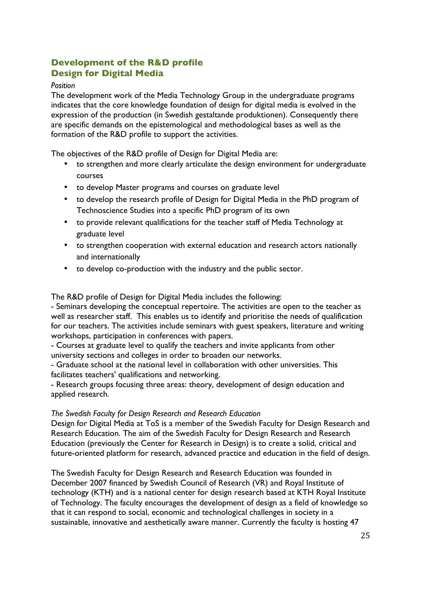# **Development of the R&D profile Design for Digital Media**

### *Position*

The development work of the Media Technology Group in the undergraduate programs indicates that the core knowledge foundation of design for digital media is evolved in the expression of the production (in Swedish gestaltande produktionen). Consequently there are specific demands on the epistemological and methodological bases as well as the formation of the R&D profile to support the activities.

The objectives of the R&D profile of Design for Digital Media are:

- to strengthen and more clearly articulate the design environment for undergraduate courses
- to develop Master programs and courses on graduate level
- to develop the research profile of Design for Digital Media in the PhD program of Technoscience Studies into a specific PhD program of its own
- to provide relevant qualifications for the teacher staff of Media Technology at graduate level
- to strengthen cooperation with external education and research actors nationally and internationally
- to develop co-production with the industry and the public sector.

The R&D profile of Design for Digital Media includes the following:

- Seminars developing the conceptual repertoire. The activities are open to the teacher as well as researcher staff. This enables us to identify and prioritise the needs of qualification for our teachers. The activities include seminars with guest speakers, literature and writing workshops, participation in conferences with papers.

- Courses at graduate level to qualify the teachers and invite applicants from other university sections and colleges in order to broaden our networks.

- Graduate school at the national level in collaboration with other universities. This facilitates teachers' qualifications and networking.

- Research groups focusing three areas: theory, development of design education and applied research.

### *The Swedish Faculty for Design Research and Research Education*

Design for Digital Media at ToS is a member of the Swedish Faculty for Design Research and Research Education. The aim of the Swedish Faculty for Design Research and Research Education (previously the Center for Research in Design) is to create a solid, critical and future-oriented platform for research, advanced practice and education in the field of design.

The Swedish Faculty for Design Research and Research Education was founded in December 2007 financed by Swedish Council of Research (VR) and Royal Institute of technology (KTH) and is a national center for design research based at KTH Royal Institute of Technology. The faculty encourages the development of design as a field of knowledge so that it can respond to social, economic and technological challenges in society in a sustainable, innovative and aesthetically aware manner. Currently the faculty is hosting 47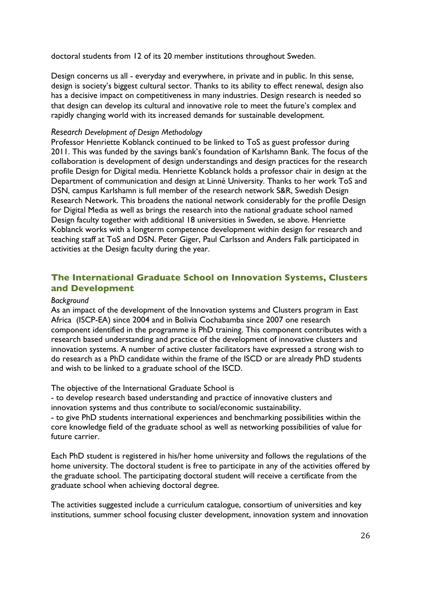doctoral students from 12 of its 20 member institutions throughout Sweden.

Design concerns us all - everyday and everywhere, in private and in public. In this sense, design is society's biggest cultural sector. Thanks to its ability to effect renewal, design also has a decisive impact on competitiveness in many industries. Design research is needed so that design can develop its cultural and innovative role to meet the future's complex and rapidly changing world with its increased demands for sustainable development.

### *Research Development of Design Methodology*

Professor Henriette Koblanck continued to be linked to ToS as guest professor during 2011. This was funded by the savings bank's foundation of Karlshamn Bank. The focus of the collaboration is development of design understandings and design practices for the research profile Design for Digital media. Henriette Koblanck holds a professor chair in design at the Department of communication and design at Linné University. Thanks to her work ToS and DSN, campus Karlshamn is full member of the research network S&R, Swedish Design Research Network. This broadens the national network considerably for the profile Design for Digital Media as well as brings the research into the national graduate school named Design faculty together with additional 18 universities in Sweden, se above. Henriette Koblanck works with a longterm competence development within design for research and teaching staff at ToS and DSN. Peter Giger, Paul Carlsson and Anders Falk participated in activities at the Design faculty during the year.

## **The International Graduate School on Innovation Systems, Clusters and Development**

### *Background*

As an impact of the development of the Innovation systems and Clusters program in East Africa (ISCP-EA) since 2004 and in Bolivia Cochabamba since 2007 one research component identified in the programme is PhD training. This component contributes with a research based understanding and practice of the development of innovative clusters and innovation systems. A number of active cluster facilitators have expressed a strong wish to do research as a PhD candidate within the frame of the ISCD or are already PhD students and wish to be linked to a graduate school of the ISCD.

The objective of the International Graduate School is

- to develop research based understanding and practice of innovative clusters and innovation systems and thus contribute to social/economic sustainability.

- to give PhD students international experiences and benchmarking possibilities within the core knowledge field of the graduate school as well as networking possibilities of value for future carrier.

Each PhD student is registered in his/her home university and follows the regulations of the home university. The doctoral student is free to participate in any of the activities offered by the graduate school. The participating doctoral student will receive a certificate from the graduate school when achieving doctoral degree.

The activities suggested include a curriculum catalogue, consortium of universities and key institutions, summer school focusing cluster development, innovation system and innovation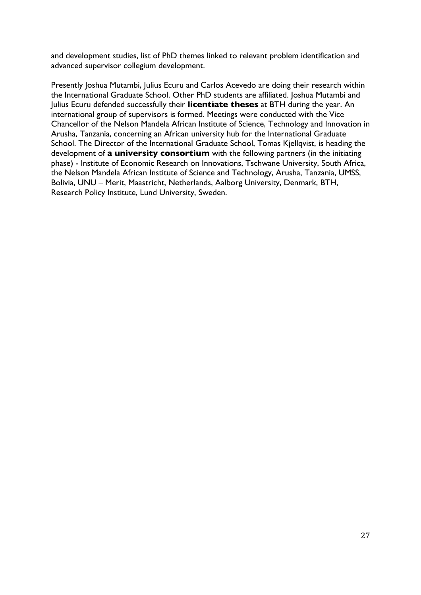and development studies, list of PhD themes linked to relevant problem identification and advanced supervisor collegium development.

Presently Joshua Mutambi, Julius Ecuru and Carlos Acevedo are doing their research within the International Graduate School. Other PhD students are affiliated. Joshua Mutambi and Julius Ecuru defended successfully their **licentiate theses** at BTH during the year. An international group of supervisors is formed. Meetings were conducted with the Vice Chancellor of the Nelson Mandela African Institute of Science, Technology and Innovation in Arusha, Tanzania, concerning an African university hub for the International Graduate School. The Director of the International Graduate School, Tomas Kjellqvist, is heading the development of **a university consortium** with the following partners (in the initiating phase) - Institute of Economic Research on Innovations, Tschwane University, South Africa, the Nelson Mandela African Institute of Science and Technology, Arusha, Tanzania, UMSS, Bolivia, UNU – Merit, Maastricht, Netherlands, Aalborg University, Denmark, BTH, Research Policy Institute, Lund University, Sweden.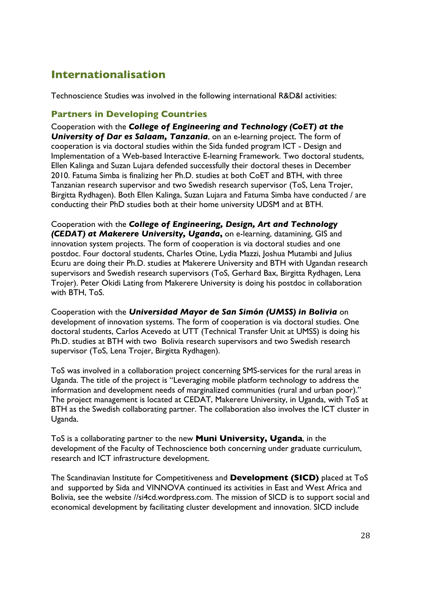# **Internationalisation**

Technoscience Studies was involved in the following international R&D&I activities:

## **Partners in Developing Countries**

Cooperation with the *College of Engineering and Technology (CoET) at the University of Dar es Salaam, Tanzania*, on an e-learning project. The form of cooperation is via doctoral studies within the Sida funded program ICT - Design and Implementation of a Web-based Interactive E-learning Framework. Two doctoral students, Ellen Kalinga and Suzan Lujara defended successfully their doctoral theses in December 2010. Fatuma Simba is finalizing her Ph.D. studies at both CoET and BTH, with three Tanzanian research supervisor and two Swedish research supervisor (ToS, Lena Trojer, Birgitta Rydhagen). Both Ellen Kalinga, Suzan Lujara and Fatuma Simba have conducted / are conducting their PhD studies both at their home university UDSM and at BTH.

Cooperation with the *College of Engineering, Design, Art and Technology (CEDAT) at Makerere University, Uganda***,** on e-learning, datamining, GIS and innovation system projects. The form of cooperation is via doctoral studies and one postdoc. Four doctoral students, Charles Otine, Lydia Mazzi, Joshua Mutambi and Julius Ecuru are doing their Ph.D. studies at Makerere University and BTH with Ugandan research supervisors and Swedish research supervisors (ToS, Gerhard Bax, Birgitta Rydhagen, Lena Trojer). Peter Okidi Lating from Makerere University is doing his postdoc in collaboration with BTH, ToS.

Cooperation with the *Universidad Mayor de San Simón (UMSS) in Bolivia* on development of innovation systems. The form of cooperation is via doctoral studies. One doctoral students, Carlos Acevedo at UTT (Technical Transfer Unit at UMSS) is doing his Ph.D. studies at BTH with two Bolivia research supervisors and two Swedish research supervisor (ToS, Lena Trojer, Birgitta Rydhagen).

ToS was involved in a collaboration project concerning SMS-services for the rural areas in Uganda. The title of the project is "Leveraging mobile platform technology to address the information and development needs of marginalized communities (rural and urban poor)." The project management is located at CEDAT, Makerere University, in Uganda, with ToS at BTH as the Swedish collaborating partner. The collaboration also involves the ICT cluster in Uganda.

ToS is a collaborating partner to the new **Muni University, Uganda**, in the development of the Faculty of Technoscience both concerning under graduate curriculum, research and ICT infrastructure development.

The Scandinavian Institute for Competitiveness and **Development (SICD)** placed at ToS and supported by Sida and VINNOVA continued its activities in East and West Africa and Bolivia, see the website //si4cd.wordpress.com. The mission of SICD is to support social and economical development by facilitating cluster development and innovation. SICD include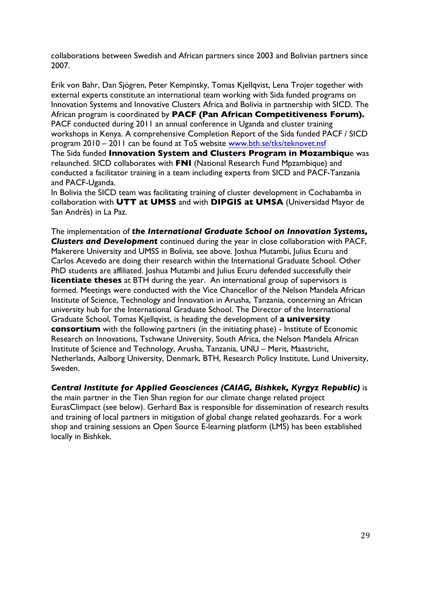collaborations between Swedish and African partners since 2003 and Bolivian partners since 2007.

Erik von Bahr, Dan Sjögren, Peter Kempinsky, Tomas Kjellqvist, Lena Trojer together with external experts constitute an international team working with Sida funded programs on Innovation Systems and Innovative Clusters Africa and Bolivia in partnership with SICD. The African program is coordinated by **PACF (Pan African Competitiveness Forum).** PACF conducted during 2011 an annual conference in Uganda and cluster training workshops in Kenya. A comprehensive Completion Report of the Sida funded PACF / SICD program 2010 – 2011 can be found at ToS website www.bth.se/tks/teknovet.nsf The Sida funded **Innovation System and Clusters Program in Mozambiqu**e was relaunched. SICD collaborates with **FNI** (National Research Fund Mpzambique) and conducted a facilitator training in a team including experts from SICD and PACF-Tanzania and PACF-Uganda.

In Bolivia the SICD team was facilitating training of cluster development in Cochabamba in collaboration with **UTT at UMSS** and with **DIPGIS at UMSA** (Universidad Mayor de San Andrès) in La Paz.

The implementation of *the International Graduate School on Innovation Systems, Clusters and Development* continued during the year in close collaboration with PACF, Makerere University and UMSS in Bolivia, see above. Joshua Mutambi, Julius Ecuru and Carlos Acevedo are doing their research within the International Graduate School. Other PhD students are affiliated. Joshua Mutambi and Julius Ecuru defended successfully their **licentiate theses** at BTH during the year. An international group of supervisors is formed. Meetings were conducted with the Vice Chancellor of the Nelson Mandela African Institute of Science, Technology and Innovation in Arusha, Tanzania, concerning an African university hub for the International Graduate School. The Director of the International Graduate School, Tomas Kjellqvist, is heading the development of **a university consortium** with the following partners (in the initiating phase) - Institute of Economic Research on Innovations, Tschwane University, South Africa, the Nelson Mandela African Institute of Science and Technology, Arusha, Tanzania, UNU – Merit, Maastricht, Netherlands, Aalborg University, Denmark, BTH, Research Policy Institute, Lund University, Sweden.

*Central Institute for Applied Geosciences (CAIAG, Bishkek, Kyrgyz Republic)* is

the main partner in the Tien Shan region for our climate change related project EurasClimpact (see below). Gerhard Bax is responsible for dissemination of research results and training of local partners in mitigation of global change related geohazards. For a work shop and training sessions an Open Source E-learning platform (LMS) has been established locally in Bishkek.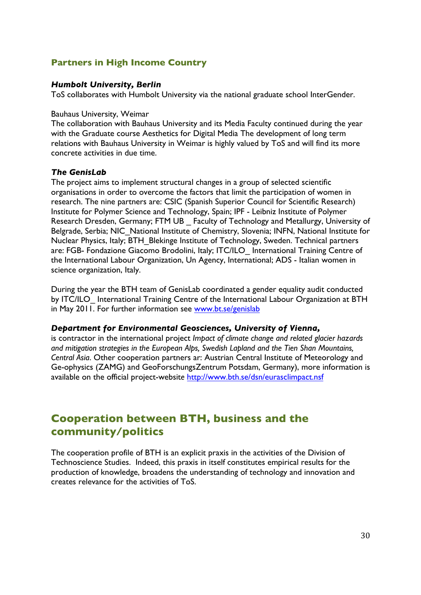### **Partners in High Income Country**

### *Humbolt University, Berlin*

ToS collaborates with Humbolt University via the national graduate school InterGender.

#### Bauhaus University, Weimar

The collaboration with Bauhaus University and its Media Faculty continued during the year with the Graduate course Aesthetics for Digital Media The development of long term relations with Bauhaus University in Weimar is highly valued by ToS and will find its more concrete activities in due time.

### *The GenisLab*

The project aims to implement structural changes in a group of selected scientific organisations in order to overcome the factors that limit the participation of women in research. The nine partners are: CSIC (Spanish Superior Council for Scientific Research) Institute for Polymer Science and Technology, Spain; IPF - Leibniz Institute of Polymer Research Dresden, Germany; FTM UB Faculty of Technology and Metallurgy, University of Belgrade, Serbia; NIC\_National Institute of Chemistry, Slovenia; INFN, National Institute for Nuclear Physics, Italy; BTH\_Blekinge Institute of Technology, Sweden. Technical partners are: FGB- Fondazione Giacomo Brodolini, Italy; ITC/ILO\_ International Training Centre of the International Labour Organization, Un Agency, International; ADS - Italian women in science organization, Italy.

During the year the BTH team of GenisLab coordinated a gender equality audit conducted by ITC/ILO International Training Centre of the International Labour Organization at BTH in May 2011. For further information see www.bt.se/genislab

### *Department for Environmental Geosciences, University of Vienna,*

is contractor in the international project *Impact of climate change and related glacier hazards and mitigation strategies in the European Alps, Swedish Lapland and the Tien Shan Mountains, Central Asia*. Other cooperation partners ar: Austrian Central Institute of Meteorology and Ge-ophysics (ZAMG) and GeoForschungsZentrum Potsdam, Germany), more information is available on the official project-websit*e* http://www.bth.se/dsn/eurasclimpact.nsf

# **Cooperation between BTH, business and the community/politics**

The cooperation profile of BTH is an explicit praxis in the activities of the Division of Technoscience Studies. Indeed, this praxis in itself constitutes empirical results for the production of knowledge, broadens the understanding of technology and innovation and creates relevance for the activities of ToS.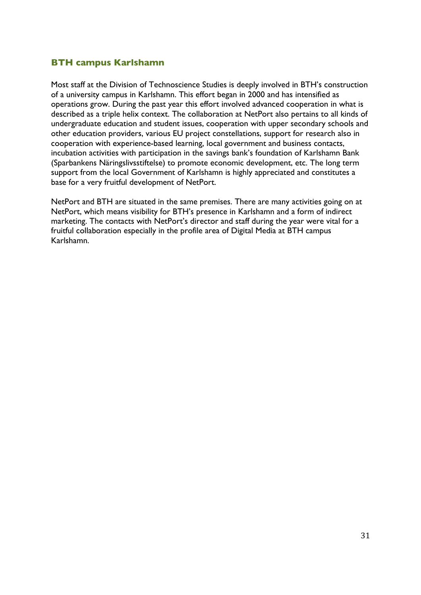### **BTH campus Karlshamn**

Most staff at the Division of Technoscience Studies is deeply involved in BTH's construction of a university campus in Karlshamn. This effort began in 2000 and has intensified as operations grow. During the past year this effort involved advanced cooperation in what is described as a triple helix context. The collaboration at NetPort also pertains to all kinds of undergraduate education and student issues, cooperation with upper secondary schools and other education providers, various EU project constellations, support for research also in cooperation with experience-based learning, local government and business contacts, incubation activities with participation in the savings bank's foundation of Karlshamn Bank (Sparbankens Näringslivsstiftelse) to promote economic development, etc. The long term support from the local Government of Karlshamn is highly appreciated and constitutes a base for a very fruitful development of NetPort.

NetPort and BTH are situated in the same premises. There are many activities going on at NetPort, which means visibility for BTH's presence in Karlshamn and a form of indirect marketing. The contacts with NetPort's director and staff during the year were vital for a fruitful collaboration especially in the profile area of Digital Media at BTH campus Karlshamn.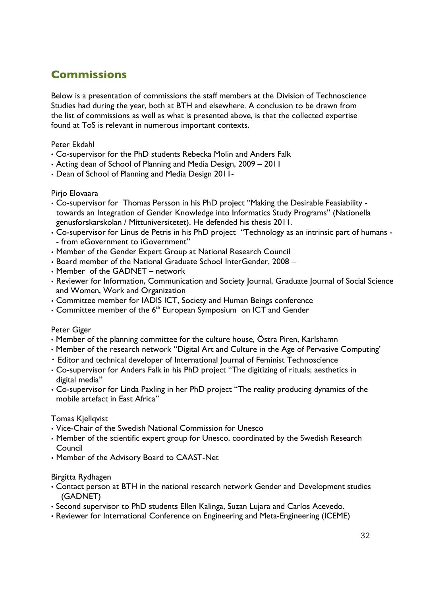# **Commissions**

Below is a presentation of commissions the staff members at the Division of Technoscience Studies had during the year, both at BTH and elsewhere. A conclusion to be drawn from the list of commissions as well as what is presented above, is that the collected expertise found at ToS is relevant in numerous important contexts.

### Peter Ekdahl

- Co-supervisor for the PhD students Rebecka Molin and Anders Falk
- Acting dean of School of Planning and Media Design, 2009 2011
- Dean of School of Planning and Media Design 2011-

### Pirjo Elovaara

- Co-supervisor for Thomas Persson in his PhD project "Making the Desirable Feasiability towards an Integration of Gender Knowledge into Informatics Study Programs" (Nationella genusforskarskolan / Mittuniversitetet). He defended his thesis 2011.
- Co-supervisor for Linus de Petris in his PhD project "Technology as an intrinsic part of humans - from eGovernment to iGovernment"
- Member of the Gender Expert Group at National Research Council
- Board member of the National Graduate School InterGender, 2008 –
- Member of the GADNET network
- Reviewer for Information, Communication and Society Journal, Graduate Journal of Social Science and Women, Work and Organization
- Committee member for IADIS ICT, Society and Human Beings conference
- Committee member of the  $6<sup>th</sup>$  European Symposium on ICT and Gender

### Peter Giger

- Member of the planning committee for the culture house, Östra Piren, Karlshamn
- Member of the research network "Digital Art and Culture in the Age of Pervasive Computing'
- ・ Editor and technical developer of International Journal of Feminist Technoscience
- Co-supervisor for Anders Falk in his PhD project "The digitizing of rituals; aesthetics in digital media"
- Co-supervisor for Linda Paxling in her PhD project "The reality producing dynamics of the mobile artefact in East Africa"

### Tomas Kjellqvist

- Vice-Chair of the Swedish National Commission for Unesco
- Member of the scientific expert group for Unesco, coordinated by the Swedish Research Council
- Member of the Advisory Board to CAAST-Net

### Birgitta Rydhagen

- Contact person at BTH in the national research network Gender and Development studies (GADNET)
- Second supervisor to PhD students Ellen Kalinga, Suzan Lujara and Carlos Acevedo.
- Reviewer for International Conference on Engineering and Meta-Engineering (ICEME)